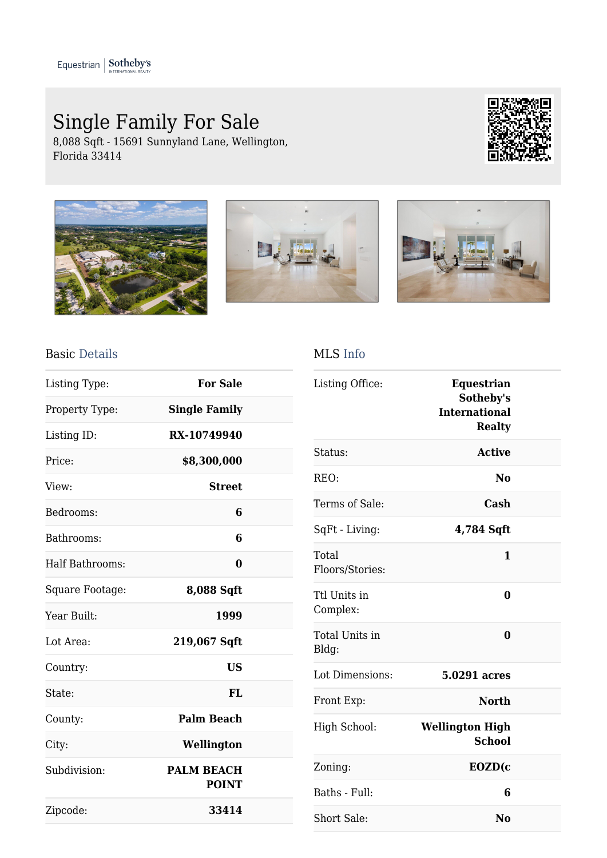## Single Family For Sale

8,088 Sqft - 15691 Sunnyland Lane, Wellington, Florida 33414









## Basic Details

| Listing Type:   | <b>For Sale</b>                   |  |
|-----------------|-----------------------------------|--|
| Property Type:  | <b>Single Family</b>              |  |
| Listing ID:     | RX-10749940                       |  |
| Price:          | \$8,300,000                       |  |
| View:           | <b>Street</b>                     |  |
| Bedrooms:       | 6                                 |  |
| Bathrooms:      | 6                                 |  |
| Half Bathrooms: | 0                                 |  |
| Square Footage: | 8,088 Sqft                        |  |
| Year Built:     | 1999                              |  |
| Lot Area:       | 219,067 Sqft                      |  |
| Country:        | <b>US</b>                         |  |
| State:          | FL                                |  |
| County:         | <b>Palm Beach</b>                 |  |
| City:           | Wellington                        |  |
| Subdivision:    | <b>PALM BEACH</b><br><b>POINT</b> |  |
| Zipcode:        | 33414                             |  |

## MLS Info

| Listing Office:          | <b>Equestrian</b><br>Sotheby's<br><b>International</b><br><b>Realty</b> |  |
|--------------------------|-------------------------------------------------------------------------|--|
| Status:                  | <b>Active</b>                                                           |  |
| REO:                     | No                                                                      |  |
| Terms of Sale:           | Cash                                                                    |  |
| SqFt - Living:           | 4,784 Sqft                                                              |  |
| Total<br>Floors/Stories: | 1                                                                       |  |
| Ttl Units in<br>Complex: | $\bf{0}$                                                                |  |
| Total Units in<br>Bldg:  | 0                                                                       |  |
| Lot Dimensions:          | 5.0291 acres                                                            |  |
| Front Exp:               | <b>North</b>                                                            |  |
| High School:             | <b>Wellington High</b><br><b>School</b>                                 |  |
| Zoning:                  | EOZD(c                                                                  |  |
| Baths - Full:            | 6                                                                       |  |
| <b>Short Sale:</b>       | N <sub>0</sub>                                                          |  |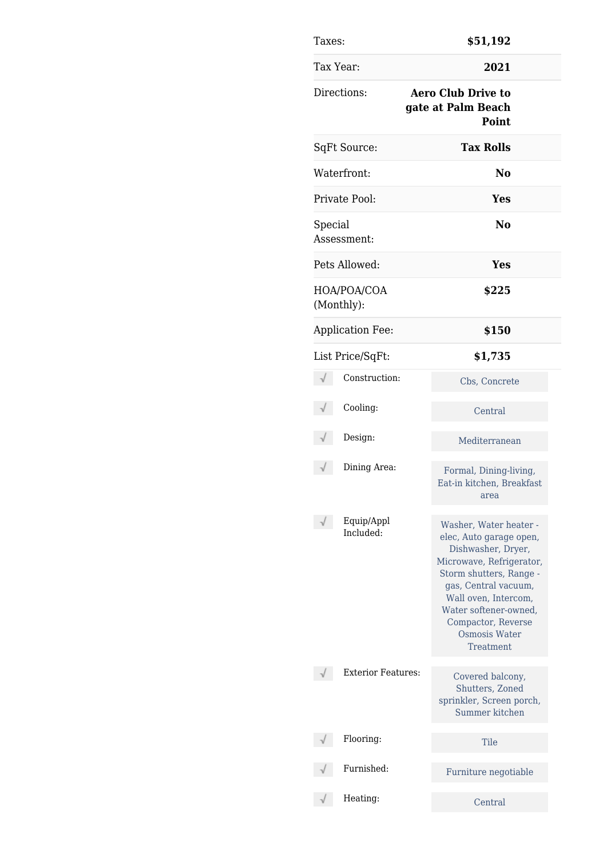| Taxes:                    | \$51,192                                                                                                                                                                                                                                                    |
|---------------------------|-------------------------------------------------------------------------------------------------------------------------------------------------------------------------------------------------------------------------------------------------------------|
| Tax Year:                 | 2021                                                                                                                                                                                                                                                        |
| Directions:               | <b>Aero Club Drive to</b><br>gate at Palm Beach<br>Point                                                                                                                                                                                                    |
| SqFt Source:              | <b>Tax Rolls</b>                                                                                                                                                                                                                                            |
| Waterfront:               | No                                                                                                                                                                                                                                                          |
| Private Pool:             | Yes                                                                                                                                                                                                                                                         |
| Special<br>Assessment:    | No                                                                                                                                                                                                                                                          |
| Pets Allowed:             | Yes                                                                                                                                                                                                                                                         |
| HOA/POA/COA<br>(Monthly): | \$225                                                                                                                                                                                                                                                       |
| <b>Application Fee:</b>   | \$150                                                                                                                                                                                                                                                       |
| List Price/SqFt:          | \$1,735                                                                                                                                                                                                                                                     |
| Construction:             | Cbs, Concrete                                                                                                                                                                                                                                               |
| Cooling:                  | Central                                                                                                                                                                                                                                                     |
| Design:                   | Mediterranean                                                                                                                                                                                                                                               |
| Dining Area:              | Formal, Dining-living,<br>Eat-in kitchen, Breakfast<br>area                                                                                                                                                                                                 |
| Equip/Appl<br>Included:   | Washer, Water heater -<br>elec, Auto garage open,<br>Dishwasher, Dryer,<br>Microwave, Refrigerator,<br>Storm shutters, Range -<br>gas, Central vacuum,<br>Wall oven, Intercom,<br>Water softener-owned,<br>Compactor, Reverse<br>Osmosis Water<br>Treatment |
| <b>Exterior Features:</b> | Covered balcony,<br>Shutters, Zoned<br>sprinkler, Screen porch,<br>Summer kitchen                                                                                                                                                                           |
| Flooring:                 | Tile                                                                                                                                                                                                                                                        |
| Furnished:                | Furniture negotiable                                                                                                                                                                                                                                        |
| Heating:                  | Central                                                                                                                                                                                                                                                     |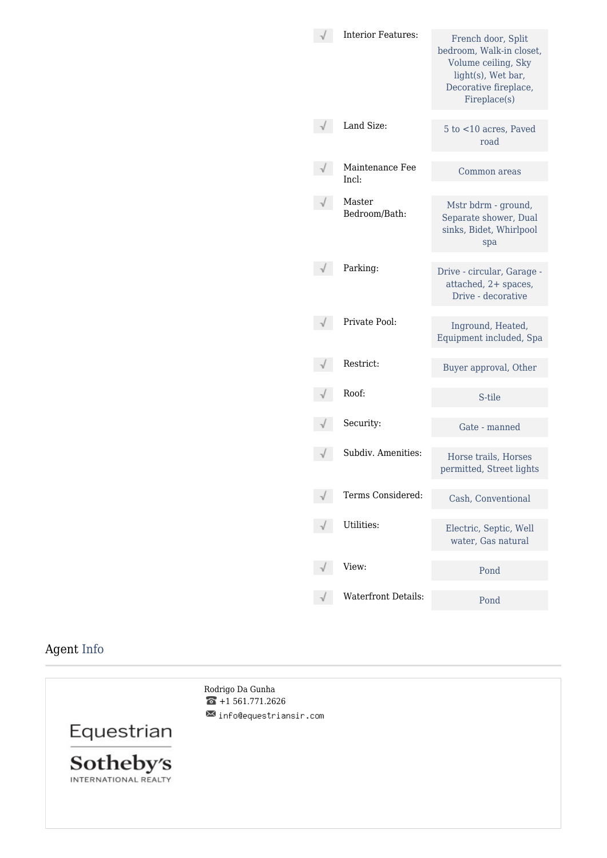| <b>Interior Features:</b> | French door, Split<br>bedroom, Walk-in closet,<br>Volume ceiling, Sky<br>light(s), Wet bar,<br>Decorative fireplace,<br>Fireplace(s) |
|---------------------------|--------------------------------------------------------------------------------------------------------------------------------------|
| Land Size:                | 5 to <10 acres, Paved<br>road                                                                                                        |
| Maintenance Fee<br>Incl:  | Common areas                                                                                                                         |
| Master<br>Bedroom/Bath:   | Mstr bdrm - ground,<br>Separate shower, Dual<br>sinks, Bidet, Whirlpool<br>spa                                                       |
| Parking:                  | Drive - circular, Garage -<br>attached, 2+ spaces,<br>Drive - decorative                                                             |
| Private Pool:             | Inground, Heated,<br>Equipment included, Spa                                                                                         |
| Restrict:                 | Buyer approval, Other                                                                                                                |
| Roof:                     | S-tile                                                                                                                               |
| Security:                 | Gate - manned                                                                                                                        |
| Subdiv. Amenities:        | Horse trails, Horses<br>permitted, Street lights                                                                                     |
| Terms Considered:         | Cash, Conventional                                                                                                                   |
| Utilities:                | Electric, Septic, Well<br>water, Gas natural                                                                                         |
|                           |                                                                                                                                      |
| View:                     | Pond                                                                                                                                 |

## Agent Info

Rodrigo Da Gunha  $\bullet$  +1 561.771.2626  $\blacksquare$  info@equestriansir.com